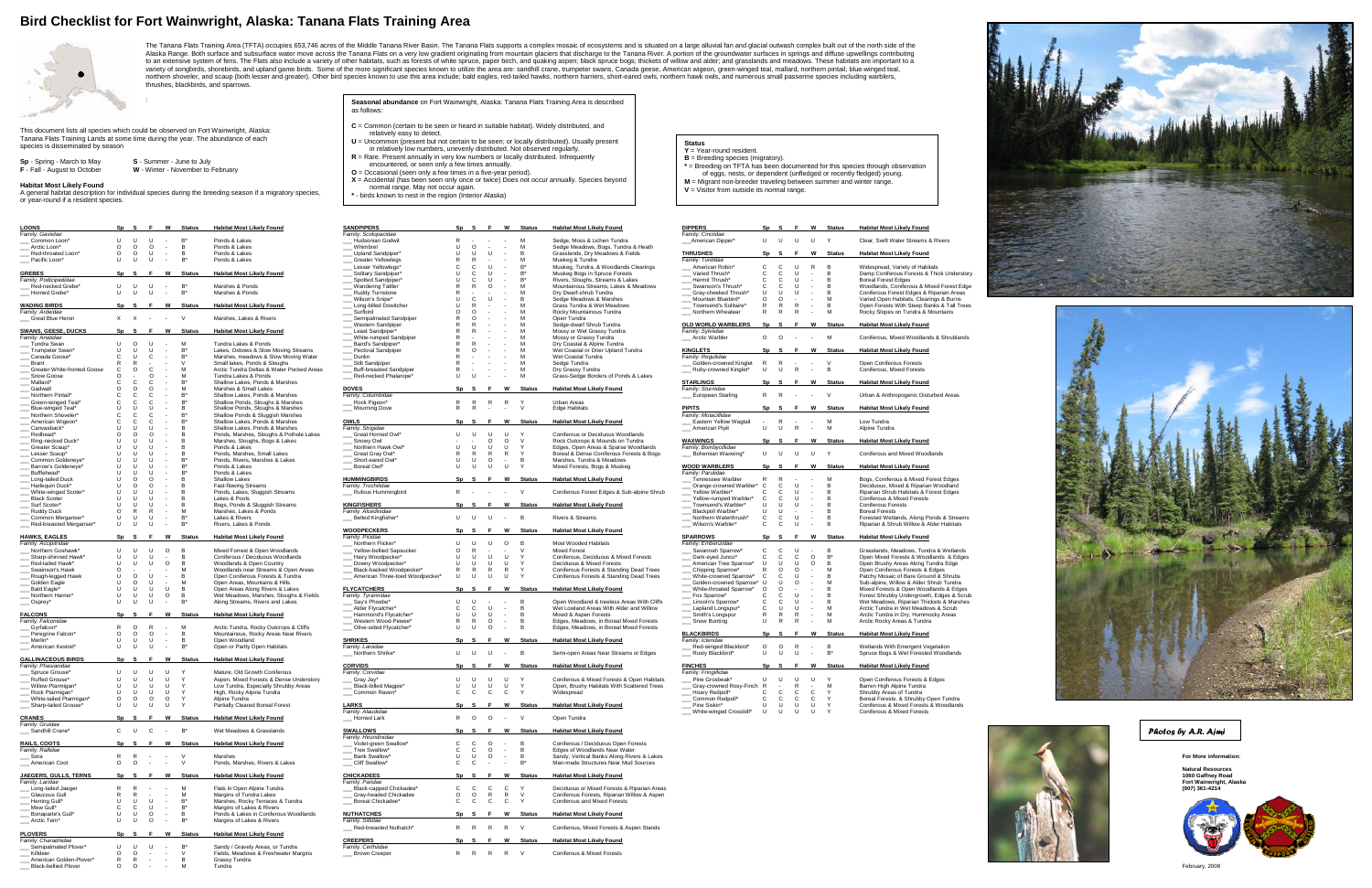## **Bird Checklist for Fort Wainwright, Alaska: Tanana Flats Training Area**



The Tanana Flats Training Area (TFTA) occupies 653,746 acres of the Middle Tanana River Basin. The Tanana Flats supports a complex mosaic of ecosystems and is situated on a large alluvial fan and glacial outwash complex bu Alaska Range. Both surface and subsurface water move across the Tanana Flats on a very low gradient originating from mountain glaciers that discharge to the Tanana River. A portion of the groundwater surfaces in springs an to an extensive system of fens. The Flats also include a variety of other habitats, such as forests of white spruce, paper birch, and quaking aspen; black spruce bogs; thickets of willow and alder; and grasslands and meado

- **C** = Common (certain to be seen or heard in suitable habitat). Widely distributed, and relatively easy to detect.
- **U** = Uncommon (present but not certain to be seen; or locally distributed). Usually present
- in relatively low numbers, unevenly distributed. Not observed regularly. **R** = Rare. Present annually in very low numbers or locally distributed. Infrequently
- encountered, or seen only a few times annually. **O** = Occasional (seen only a few times in a five-year period).
- 
- 
- **X** = Accidental (has been seen only once or twice) Does not occur annually. Species beyond<br>normal range. May not occur again.<br>\* birds known to nest in the region (Interior Alaska)

:

This document lists all species which could be observed on Fort Wainwright, Alaska: Tanana Flats Training Lands at some time during the year. The abundance of each species is disseminated by season

| <b>Sp</b> - Spring - March to May   | S - Summer - June to July         |
|-------------------------------------|-----------------------------------|
| <b>F</b> - Fall - August to October | W - Winter - November to February |

## **Status**

- **Y** = Year-round resident.
- **B** = Breeding species (migratory). **\*** = Breeding on TFTA has been documented for this species through observation
- of eggs, nests, or dependent (unfledged or recently fledged) young. **M** = Migrant non-breeder traveling between summer and winter range.
- **V** = Visitor from outside its normal range.

| <b>DIPPERS</b>                                | Sp             | s             | F                        | W              | <b>Status</b> | <b>Habitat Most Likely Found</b>                                                 |
|-----------------------------------------------|----------------|---------------|--------------------------|----------------|---------------|----------------------------------------------------------------------------------|
| Family: Cinclidae                             |                |               |                          |                |               |                                                                                  |
| American Dipper*                              | U              | U             | U                        | U              | Y             | Clear, Swift Water Streams & Rivers                                              |
| <b>THRUSHES</b>                               | Sp             | S             | F                        | W              | <b>Status</b> | <b>Habitat Most Likely Found</b>                                                 |
| Family: Turdidae                              |                |               |                          |                |               |                                                                                  |
| American Robin*                               | C              | C             | U                        | R              | в             | Widespread, Variety of Habitats                                                  |
| Varied Thrush*                                | Ċ              | C             | U                        | $\overline{a}$ | B             | Damp Coniferous Forests & Thick Understory                                       |
| Hermit Thrush*                                | C              | C             | U                        | $\overline{a}$ | B             | <b>Boreal Forest Edges</b>                                                       |
| Swainson's Thrush*                            | C              | C             | U                        |                | в             | Woodlands, Coniferous & Mixed Forest Edge                                        |
| Gray-cheeked Thrush*                          | U              | U             | U                        | $\overline{a}$ | в             | Coniferous Forest Edges & Riparian Areas                                         |
| Mountain Bluebird*                            | O              | O             | ÷<br>R                   | $\overline{a}$ | М             | Varied Open Habitats, Clearings & Burns                                          |
| Townsend's Solitaire*<br>Northern Wheatear    | R<br>R         | R<br>R        | R                        | $\overline{a}$ | B<br>M        | Open Forests With Steep Banks & Tall Trees<br>Rocky Slopes on Tundra & Mountains |
|                                               |                |               |                          |                |               |                                                                                  |
| <b>OLD WORLD WARBLERS</b>                     | Sp             | S             | F                        | W              | <b>Status</b> | <b>Habitat Most Likely Found</b>                                                 |
| Family: Sylviidae                             |                |               |                          |                |               |                                                                                  |
| Arctic Warbler                                | $\circ$        | O             | L                        | $\overline{a}$ | M             | Coniferous, Mixed Woodlands & Shrublands                                         |
| <b>KINGLETS</b>                               | Sp             | S             | F                        | W              | <b>Status</b> | <b>Habitat Most Likely Found</b>                                                 |
| Family: Regulidae                             |                |               |                          |                |               |                                                                                  |
| Golden-crowned Kinglet                        | R              | R             |                          |                | V             | Open Coniferous Forests                                                          |
| _ Ruby-crowned Kinglet*                       | U              | U             | R                        | $\overline{a}$ | B             | Coniferous, Mixed Forests                                                        |
|                                               |                |               |                          |                |               |                                                                                  |
| <b>STARLINGS</b><br>Family: Sturnidae         | Sp             | S             | F                        | W              | <b>Status</b> | <b>Habitat Most Likely Found</b>                                                 |
| <b>European Starling</b>                      | R              | R             | $\overline{a}$           | $\overline{a}$ | ٧             | Urban & Anthropogenic Disturbed Areas                                            |
|                                               |                |               |                          |                |               |                                                                                  |
| <b>PIPITS</b>                                 | Sp             | S             | F                        | W              | <b>Status</b> | <b>Habitat Most Likely Found</b>                                                 |
| Family: Motacillidae                          |                |               |                          |                |               |                                                                                  |
| Eastern Yellow Wagtail                        |                | R             |                          | -              | M             | Low Tundra                                                                       |
| American Pipit                                | Ù              | U             | R                        | L,             | M             | Alpine Tundra                                                                    |
| <b>WAXWINGS</b>                               | Sp             | S             | F                        | W              | <b>Status</b> | <b>Habitat Most Likely Found</b>                                                 |
| Family: Bombycillidae                         |                |               |                          |                |               |                                                                                  |
| Bohemian Waxwing*                             | U              | U             | U                        | U              | Υ             | Coniferous and Mixed Woodlands                                                   |
|                                               |                |               |                          |                |               |                                                                                  |
|                                               |                |               |                          |                |               |                                                                                  |
| <b>WOOD WARBLERS</b>                          | Sp             | S             | F                        | W              | <b>Status</b> | <b>Habitat Most Likely Found</b>                                                 |
| Family: Parulidae                             |                |               |                          |                |               |                                                                                  |
| Tennessee Warbler                             | R              | R             | ÷,                       | l,             | M             | Bogs, Coniferous & Mixed Forest Edges                                            |
| Orange-crowned Warbler*                       | С              |               | U                        | l,             | B             | Deciduous, Mixed & Riparian Woodland                                             |
| Yellow Warbler*                               | Ċ              | $\frac{C}{C}$ | U<br>U                   | $\overline{a}$ | B<br>B        | Riparian Shrub Habitats & Forest Edges                                           |
| Yellow-rumped Warbler*<br>Townsend's Warbler* | C<br>Ù         | C<br>U        | U                        | $\overline{a}$ | B             | Coniferous & Mixed Forests<br><b>Coniferous Forests</b>                          |
| Blackpoll Warbler*                            | Ù              | U             | $\overline{a}$           | $\overline{a}$ | B             | <b>Boreal Forests</b>                                                            |
| Northern Waterthrush*                         | C              | C             | U                        | $\overline{a}$ | B             | Forested Wetlands, Along Ponds & Streams                                         |
| Wilson's Warbler*                             | C              | C             | U                        | l,             | B             | Riparian & Shrub Willow & Alder Habitats                                         |
|                                               |                |               |                          |                |               |                                                                                  |
| <b>SPARROWS</b>                               | Sp             | S             | F                        | W              | <b>Status</b> | <b>Habitat Most Likely Found</b>                                                 |
| Family: Emberizidae                           | C              | C             | U                        | $\overline{a}$ | B             | Grasslands, Meadows, Tundra & Wetlands                                           |
| Savannah Sparrow*<br>Dark-eyed Junco*         | C              | C             | C                        | O              | B*            | Open Mixed Forests & Woodlands & Edges                                           |
| American Tree Sparrow*                        | U              | U             | U                        | O              | B             | Open Brushy Areas Along Tundra Edge                                              |
| Chipping Sparrow*                             | R              | O             | $\circ$                  | $\overline{a}$ | M             | Open Coniferous Forests & Edges                                                  |
| White-crowned Sparrow*                        | C              | С             | U                        | L,             | B             | Patchy Mosaic of Bare Ground & Shrubs                                            |
| Golden-crowned Sparrow*                       | U              | U             | $\circ$                  | $\overline{a}$ | M             | Sub-alpine, Willow & Alder Shrub Tundra                                          |
| White-throated Sparrow*                       | O              | O             | $\overline{\phantom{a}}$ | l,             | B             | Mixed Forests & Open Woodlands & Edges                                           |
| _ Fox Sparrow*                                | С              | С             | U                        | $\overline{a}$ | B<br>B        | Forest Shrubby Undergrowth, Edges & Scrub                                        |
| Lincoln's Sparrow*                            | C<br>C         | C<br>U        | U<br>U                   | l,             | M             | Wet Meadows, Riparian Thickets & Marshes<br>Arctic Tundra in Wet Meadows & Scrub |
| Lapland Longspur*<br>Smith's Longspur         | R              | R             | R                        |                | M             | Arctic Tundra in Dry, Hummocky Areas                                             |
| Snow Bunting                                  | Ù              | R             | R                        | $\overline{a}$ | M             | Arctic Rocky Areas & Tundra                                                      |
|                                               |                |               |                          |                |               |                                                                                  |
| <b>BLACKBIRDS</b>                             | Sp             | S             | F                        | W              | <b>Status</b> | <b>Habitat Most Likely Found</b>                                                 |
| Family: Icteridae                             |                |               |                          | l,             |               |                                                                                  |
| Red-winged Blackbird*                         | $\circ$        | O             | R                        | L,             | B             | Wetlands With Emergent Vegetation                                                |
| Rusty Blackbird*                              | U              | U             | U                        |                | B*            | Spruce Bogs & Wet Forested Woodlands                                             |
| <b>FINCHES</b>                                | Sp             | s             | F                        | W              | <b>Status</b> | <b>Habitat Most Likely Found</b>                                                 |
| Family: Fringillidae                          |                |               |                          |                |               |                                                                                  |
| Pine Grosbeak*                                | U              | U             | U                        | U              | Υ             | Open Coniferous Forests & Edges                                                  |
| Gray-crowned Rosy-Finch<br>Hoary Redpoll*     | ${\sf R}$<br>C | ٠<br>C        | R<br>C                   | ٠<br>C         | M<br>Υ        | Barren High Alpine Tundra<br>Shrubby Areas of Tundra                             |





**Habitat Most Likely Found**

A general habitat description for individual species during the breeding season if a migratory species, or year-round if a resident species.

| <b>LOONS</b>                                        |                                                        |                                | Sp S F W Status                              | <b>Habitat Most Likely Found</b>                                          | <b>SANDPIPERS</b>                                 |                                  |                                                            |        | Sp S F W Status Habitat Most Likely Found                                                  | <b>DIPPERS</b>                                    |                                                                                                                  | Sp S F W Status Habitat Most Likely Found                                            |                          |
|-----------------------------------------------------|--------------------------------------------------------|--------------------------------|----------------------------------------------|---------------------------------------------------------------------------|---------------------------------------------------|----------------------------------|------------------------------------------------------------|--------|--------------------------------------------------------------------------------------------|---------------------------------------------------|------------------------------------------------------------------------------------------------------------------|--------------------------------------------------------------------------------------|--------------------------|
| Family: Gaviidae<br>Common Loon'                    | $U$ $U$ $U$                                            |                                | <b>Contract</b>                              | Ponds & Lakes                                                             | Family: Scolopacidae<br><b>Hudsonian Godwit</b>   |                                  | $\sim 10^{-1}$                                             |        | Sedge, Moss & Lichen Tundra                                                                | Family: Cinclidae<br>_American Dipper*            | $U$ $U$ $U$<br>$\cup$                                                                                            | Clear, Swift Water Streams & Rivers                                                  |                          |
| Arctic Loon*                                        |                                                        | $0\quad 0\quad 0\quad -$       | <b>B</b>                                     | Ponds & Lakes                                                             | Whimbrel                                          | $\circ$<br>U                     | M<br>$\sim$<br>$\sim$                                      |        | Sedge Meadows, Bogs, Tundra & Heath                                                        |                                                   |                                                                                                                  |                                                                                      |                          |
| Red-throated Loon'                                  | $\circ$<br>$\circ$                                     | $\cup$                         | <b>Contract</b>                              | Ponds & Lakes                                                             | <b>Upland Sandpiper</b>                           | U<br>U                           | $\cup$<br>$\sim$ $-$                                       |        | Grasslands, Dry Meadows & Fields                                                           | <b>THRUSHES</b>                                   | Sp S F W Status                                                                                                  | <b>Habitat Most Likely Found</b>                                                     |                          |
| Pacific Loon*                                       | $U$ $U$                                                | - U                            | <b>Contract Contract</b><br>R*               | Ponds & Lakes                                                             | <b>Greater Yellowlegs</b><br>Lesser Yellowlegs'   | $\mathsf{C}$<br>C.               | $\sim$ $-$<br>$\mathbf{H}$<br>R'<br>$\sim$                 |        | Muskeg & Tundra<br>Muskeg, Tundra, & Woodlands Clearings                                   | Family: Turdidae<br>American Robin*               | $C$ $C$<br>$\mathbf{U}$<br>R<br><b>B</b>                                                                         | Widespread, Variety of Habitats                                                      |                          |
| <b>GREBES</b>                                       |                                                        |                                | Sp S F W Status                              | <b>Habitat Most Likely Found</b>                                          | Solitary Sandpiper                                | - C                              | $\sim$<br>- 11                                             |        | Muskeg Bogs in Spruce Forests                                                              | Varied Thrush*                                    | $\mathbf{C}$<br>$\mathbf{C}$<br>- U<br>$\sim$                                                                    | Damp Coniferous Forests & Thick Understory                                           |                          |
| Family: Podicipedidae                               |                                                        |                                |                                              |                                                                           | <b>Spotted Sandpiper</b>                          |                                  | $\sim$                                                     |        | Rivers, Sloughs, Streams & Lakes                                                           | Hermit Thrush*                                    | $\mathbf{C}$<br>$\mathbf{C}$<br>- U<br>$\sim$ $-$<br>- B                                                         | <b>Boreal Forest Edges</b>                                                           |                          |
| Red-necked Grebe<br>Horned Grebe*                   | U U<br>U U                                             | <b>U</b><br>$\cup$             | $B^*$<br>$\sim 10^{-11}$<br>$\sim 100$<br>B* | Marshes & Ponds<br>Marshes & Ponds                                        | <b>Wandering Tattler</b><br>Ruddy Turnstone       |                                  | $\Omega$                                                   |        | Mountainous Streams, Lakes & Meadows<br>Dry Dwarf-shrub Tundra                             | Swainson's Thrush*<br>Gray-cheeked Thrush*        | $\mathbf{C}$<br>$\mathbf{C}$<br>- U<br>$\sim 10^{-1}$<br><b>B</b><br>$\cup$<br>$\mathbf{U}$<br>$\sim 100$<br>- U | Woodlands, Coniferous & Mixed Forest Edge                                            |                          |
|                                                     |                                                        |                                |                                              |                                                                           | Wilson's Snipe*                                   |                                  |                                                            |        | Sedge Meadows & Marshes                                                                    | Mountain Bluebird*                                | $\Omega$<br>$\Omega$ - -<br>M                                                                                    | Coniferous Forest Edges & Riparian Areas<br>Varied Open Habitats, Clearings & Burns  |                          |
| <b>WADING BIRDS</b>                                 | Sp <sub>S</sub>                                        |                                | F W Status                                   | <b>Habitat Most Likely Found</b>                                          | Long-billed Dowitcher                             |                                  |                                                            |        | Grass Tundra & Wet Meadows                                                                 | Townsend's Solitaire*                             | R R<br><b>Contract</b><br>R.<br>- R                                                                              | Open Forests With Steep Banks & Tall Trees                                           |                          |
| Family: Ardeidae<br>Great Blue Heron                |                                                        | $X \times X$ - - V             |                                              | Marshes, Lakes & Rivers                                                   | Surfbird<br>Semipalmated Sandpiper                |                                  |                                                            |        | Rocky Mountainous Tundra<br>Open Tundra                                                    | Northern Wheatear                                 | R<br>R<br>R<br>$\sim 10^{-11}$<br>M                                                                              | Rocky Slopes on Tundra & Mountains                                                   |                          |
|                                                     |                                                        |                                |                                              |                                                                           | Western Sandpiper                                 |                                  |                                                            |        | Sedge-dwarf Shrub Tundra                                                                   | <b>OLD WORLD WARBLERS</b>                         | Sp S F W Status                                                                                                  | <b>Habitat Most Likely Found</b>                                                     |                          |
| <b>SWANS, GEESE, DUCKS</b>                          |                                                        |                                | Sp S F W Status                              | <b>Habitat Most Likely Found</b>                                          | Least Sandpiper'                                  |                                  |                                                            |        | Mossy or Wet Grassy Tundra                                                                 | Family: Sylviidae                                 |                                                                                                                  |                                                                                      |                          |
| Family: Anatidae<br>Tundra Swan                     | $U$ 0                                                  | $\cup$                         | M<br><b>Contract</b>                         | Tundra Lakes & Ponds                                                      | White-rumped Sandpiper                            |                                  |                                                            |        | Mossy or Grassy Tundra<br>Dry Coastal & Alpine Tundra                                      | __ Arctic Warbler                                 | $0 \quad 0 \quad - \quad -$<br>M                                                                                 | Coniferous, Mixed Woodlands & Shrublands                                             |                          |
| Trumpeter Swan'                                     | $\cup$<br>$\cup$                                       | U                              | $R^*$<br><b>Contract</b>                     | Lakes, Oxbows & Slow Moving Streams                                       | Baird's Sandpiper'<br><b>Pectoral Sandpiper</b>   |                                  |                                                            |        | Wet Coastal or Drier Upland Tundra                                                         | <b>KINGLETS</b>                                   | Sp S F W Status                                                                                                  | <b>Habitat Most Likely Found</b>                                                     |                          |
| Canada Goose*                                       | $\mathbf{C}$<br>- U                                    |                                | $\sim$ $-$<br>R*                             | Marshes, meadows & Slow Moving Water                                      | Dunlin                                            |                                  |                                                            |        | Wet Coastal Tundra                                                                         | Family: Regulidae                                 |                                                                                                                  |                                                                                      |                          |
| Brant<br>Greater White-fronted Goose                | C.<br>$\Omega$                                         | C.                             | $\sim$                                       | Small lakes, Ponds & Sloughs<br>Arctic Tundra Deltas & Water Pocked Areas | Stilt Sandpiper<br><b>Buff-breasted Sandpiper</b> |                                  | $\sim$                                                     |        | Sedge Tundra<br>Dry Grassy Tundra                                                          | Golden-crowned Kinglet<br>_ Ruby-crowned Kinglet* | R<br>$\sim$<br>$\cup$<br>U R<br>$\sim$ $\sim$                                                                    | Open Coniferous Forests<br><b>Coniferous, Mixed Forests</b>                          |                          |
| Snow Goose                                          | $\Omega$                                               | റ                              | M<br>$\sim$ 100 $\mu$                        | Tundra Lakes & Ponds                                                      | _ Red-necked Phalarope*                           | $\mathbf{u}$<br>$\mathbf{u}$     | $\sim$                                                     |        | Grass-Sedge Borders of Ponds & Lakes                                                       |                                                   |                                                                                                                  |                                                                                      |                          |
| Mallard*                                            | $\overline{c}$<br>$\mathsf{C}$                         | C.                             | $\sim$                                       | Shallow Lakes, Ponds & Marshes                                            |                                                   |                                  |                                                            |        |                                                                                            | <b>STARLINGS</b>                                  | W Status                                                                                                         | <b>Habitat Most Likely Found</b>                                                     |                          |
| Gadwall<br>Northern Pintail                         | $\Omega$<br>$\Omega$                                   | - റ                            | $\sim$ 100 $\sim$<br>$\sim$                  | Marshes & Small Lakes<br>Shallow Lakes, Ponds & Marshes                   | <b>DOVES</b><br>Family: Columbidae                |                                  | W Status                                                   |        | <b>Habitat Most Likely Found</b>                                                           | Family: Sturnidae<br>__ European Starling         | R R<br>$\sim$ $-$<br>$\sim$ $-$                                                                                  | Urban & Anthropogenic Disturbed Areas                                                |                          |
| Green-winged Teal                                   |                                                        |                                | $\sim$                                       | Shallow Ponds, Sloughs & Marshes                                          | Rock Pigeon*                                      |                                  | R                                                          |        | Urban Areas                                                                                |                                                   |                                                                                                                  |                                                                                      |                          |
| Blue-winged Teal*                                   | . U                                                    | - U                            | $\sim$ $-$                                   | Shallow Ponds, Sloughs & Marshes                                          | _ Mourning Dove                                   | R.<br>R                          | - V                                                        |        | Edge Habitats                                                                              | <b>PIPITS</b>                                     | F W Status                                                                                                       | <b>Habitat Most Likely Found</b>                                                     |                          |
| Northern Shoveler'                                  | $\mathsf{C}$                                           | - 0                            | $\sim$ 100 $\mu$                             | Shallow Ponds & Sluggish Marshes<br>Shallow Lakes, Ponds & Marshes        |                                                   |                                  |                                                            |        |                                                                                            | Family: Motacillidae<br>__ Eastern Yellow Wagtail | M<br>- R<br>$\sim 10^{-11}$                                                                                      |                                                                                      |                          |
| American Wigeon*<br>Canvasback*                     | - 11                                                   |                                |                                              | Shallow Lakes, Ponds & Marshes                                            | Family: Strigidae                                 |                                  | Sp S F W Status                                            |        | <b>Habitat Most Likely Found</b>                                                           | __ American Pipit                                 | $\cup$<br>$\cup$<br>R<br>$\sim$ $-$<br>M                                                                         | Low Tundra<br>Alpine Tundra                                                          |                          |
| Redhead*                                            | $\circ$<br>$\Omega$                                    | റ                              |                                              | Ponds, Marshes, Sloughs & Pothole Lakes                                   | Great Horned Owl*                                 | $\cup$<br>- U                    | $\cup$<br>$\cup$                                           |        | Coniferous or Deciduous Woodlands                                                          |                                                   |                                                                                                                  |                                                                                      |                          |
| Ring-necked Duck'<br>Greater Scaup*                 |                                                        |                                |                                              | Marshes, Sloughs, Bogs & Lakes<br>Ponds & Lakes                           | Snowy Owl<br>Northern Hawk Owl*                   | $\sim$<br>U<br>U                 | $\circ$<br>$\circ$<br><b>V</b><br>- U<br>U<br>Y            |        | Rock Outcrops & Mounds on Tundra<br>Edges, Open Areas & Sparse Woodlands                   | <b>WAXWINGS</b><br>Family: Bombycillidae          | F W Status<br>Sn S                                                                                               | <b>Habitat Most Likely Found</b>                                                     |                          |
| Lesser Scaup'                                       | U<br>$\mathbf{u}$                                      | - 11                           |                                              | Ponds, Marshes, Small Lakes                                               | _ Great Gray Owl*                                 | R<br>R                           | R<br><b>R</b><br>- Y                                       |        | Boreal & Dense Coniferous Forests & Bogs                                                   | __ Bohemian Waxwing*                              | $U$ $U$ $U$<br>$\cup$                                                                                            | Coniferous and Mixed Woodlands                                                       |                          |
| Common Goldeneye                                    | U.<br>$\mathbf{u}$                                     | - 11                           |                                              | Ponds, Rivers, Marshes & Lakes                                            | Short-eared Owl*                                  | U<br>- U -                       | $\circ$<br>$\sim$<br><b>B</b>                              |        | Marshes, Tundra & Meadows                                                                  |                                                   |                                                                                                                  |                                                                                      |                          |
| Barrow's Goldeneye'<br>Bufflehead*                  | - 11<br>- U                                            | - U                            |                                              | Ponds & Lakes<br>Ponds & Lakes                                            | Boreal Owl*                                       | $\cup$<br>U                      | U<br>- U                                                   |        | Mixed Forests, Bogs & Muskeg                                                               | <b>WOOD WARBLERS</b><br>Family: Parulidae         | $Sn-S$<br>W Status                                                                                               | <b>Habitat Most Likely Found</b>                                                     |                          |
| Long-tailed Duck                                    | U.<br>$\circ$                                          | $\Omega$                       |                                              | Shallow Lakes                                                             | <b>HUMMINGBIRDS</b>                               |                                  | Sp S F W Status                                            |        | <b>Habitat Most Likely Found</b>                                                           | Tennessee Warbler                                 |                                                                                                                  | Bogs, Coniferous & Mixed Forest Edges                                                |                          |
| Harlequin Duck*                                     | U<br>$\Omega$                                          | $\Omega$                       |                                              | <b>Fast-flowing Streams</b>                                               | Family: Trochilidae                               |                                  |                                                            |        |                                                                                            | _Orange-crowned Warbler* C                        | C .<br>U<br>$\sim 100$                                                                                           | Deciduous, Mixed & Riparian Woodland                                                 |                          |
| White-winged Scoter<br><b>Black Scoter</b>          | $\mathbf{u}$ $\mathbf{u}$<br>$\mathbf{U}$ $\mathbf{U}$ | $\mathbf{u}$<br>$\blacksquare$ |                                              | Ponds, Lakes, Sluggish Streams<br>Lakes & Pools                           | ___ Rufous Hummingbird                            |                                  | R - - - V                                                  |        | Coniferous Forest Edges & Sub-alpine Shrub                                                 | Yellow Warbler*<br>Yellow-rumped Warbler*         | $\mathbf{C}$<br>$\mathbf{C}$<br>- U<br>$\mathsf{C}$<br>$\mathsf{C}$<br>$\mathbf{u}$<br>$\sim 10^{-11}$           | Riparian Shrub Habitats & Forest Edges<br>Coniferous & Mixed Forests                 |                          |
| Surf Scoter*                                        | U U                                                    | - U                            | $\sim$                                       | Bogs, Ponds & Sluggish Streams                                            | <b>KINGFISHERS</b>                                |                                  | Sp S F W Status                                            |        | <b>Habitat Most Likely Found</b>                                                           | Townsend's Warbler*                               | $\cup$<br>$\sim$ $-$<br>U U                                                                                      | <b>Coniferous Forests</b>                                                            |                          |
| <b>Ruddy Duck</b>                                   | $\circ$                                                |                                |                                              | Marshes, Lakes & Ponds                                                    | Family: Alcedinidae                               |                                  |                                                            |        |                                                                                            | Blackpoll Warbler*                                | $\mathbf{U}$<br>$\cup$<br><b>Contract Contract</b>                                                               | <b>Boreal Forests</b>                                                                |                          |
| Common Merganser<br>Red-breasted Merganser*         | U U<br>U U                                             | - U                            | $\sim$<br>$\sim$                             | Lakes & Rivers<br>Rivers, Lakes & Ponds                                   | __ Belted Kingfisher'                             | $U$ $U$ $U$                      | $\sim 100$ km s $^{-1}$                                    |        | Rivers & Streams                                                                           | Northern Waterthrush*<br>Wilson's Warbler*        | $\mathbf{C}$<br>C U<br>$\sim 100$<br>$\mathsf{C}$<br>$\mathbf{C}$<br>$\cup$<br>$\sim 100$                        | Forested Wetlands, Along Ponds & Streams<br>Riparian & Shrub Willow & Alder Habitats |                          |
|                                                     |                                                        |                                |                                              |                                                                           | <b>WOODPECKERS</b>                                |                                  | W Status                                                   |        | <b>Habitat Most Likely Found</b>                                                           |                                                   |                                                                                                                  |                                                                                      |                          |
| <b>HAWKS, EAGLES</b>                                |                                                        |                                | Sp S F W Status                              | <b>Habitat Most Likely Found</b>                                          | Family: Picidae                                   |                                  |                                                            |        |                                                                                            | <b>SPARROWS</b>                                   | Sp S F W Status                                                                                                  | <b>Habitat Most Likely Found</b>                                                     |                          |
| Family: Accipitridae<br>Northern Goshawk            | U U                                                    | $\cup$                         | $\circ$                                      | Mixed Forrest & Open Woodlands                                            | Northern Flicker*<br>Yellow-bellied Sapsucker     | $\cup$<br>$\cup$<br>$\circ$<br>R | $O$ B<br>U<br><b>V</b><br>$\sim$<br>$\sim$                 |        | Most Wooded Habitats<br><b>Mixed Forest</b>                                                | Family: Emberizidae<br>Savannah Sparrow*          | $C$ $C$<br><b>U</b><br>$\sim$ $-$                                                                                | Grasslands, Meadows, Tundra & Wetlands                                               |                          |
| Sharp-shinned Hawk*                                 | $U$ $U$ $U$                                            |                                | <b>Contract</b>                              | Coniferous / Deciduous Woodlands                                          | Hairy Woodpecker*                                 | U<br>$\cup$                      | $\cup$<br>$\cup$<br>$\mathsf{Y}$                           |        | Coniferous, Deciduous & Mixed Forests                                                      | Dark-eyed Junco*                                  | $C$ $C$ $C$ $D$ $B^*$                                                                                            | Open Mixed Forests & Woodlands & Edges                                               |                          |
| Red-tailed Hawk*<br>Swainson's Hawk                 | $\Omega$                                               | U U U O B                      |                                              | Woodlands & Open Country<br>Woodlands near Streams & Open Areas           | Downy Woodpecker*<br>Black-backed Woodpecker*     | U<br>$\cup$<br>R.<br>R           | - U<br>U<br><b>Y</b><br>R<br>Y<br>R                        |        | Deciduous & Mixed Forests<br>Coniferous Forests & Standing Dead Trees                      | American Tree Sparrow*<br>__ Chipping Sparrow*    | $U$ $U$ $U$<br>$\circ$<br>- B<br>M<br>R.<br>$\Omega$<br>റ<br>$\sim$ $-$                                          | Open Brushy Areas Along Tundra Edge<br>Open Coniferous Forests & Edges               |                          |
| Rough-legged Hawk                                   | $\mathbf{u}$ $\alpha$                                  | $\mathbf{U}$                   | $\sim$ $\sim$                                | Open Coniferous Forests & Tundra                                          | American Three-toed Woodpecker*                   | $\cup$<br>$\cup$                 | $\cup$<br>U<br>$\mathsf{Y}$                                |        | Coniferous Forests & Standing Dead Trees                                                   | White-crowned Sparrow* C C                        | $\sim$ 100 $\mu$<br>$\overline{B}$<br>$\mathbf{u}$                                                               | Patchy Mosaic of Bare Ground & Shrubs                                                |                          |
| Golden Eagle                                        | $U$ 0 $U$                                              |                                | <b>Contract</b>                              | Open Areas, Mountains & Hills                                             |                                                   |                                  |                                                            |        |                                                                                            | Golden-crowned Sparrow* U                         | - U<br>$\Omega$                                                                                                  | Sub-alpine, Willow & Alder Shrub Tundra                                              |                          |
| Bald Eagle*<br>Northern Harrier                     | $\mathbf{U}$<br>- U<br>$\mathbf{U}$<br>- U             | - U<br>- U                     | U<br>$\circ$                                 | Open Areas Along Rivers & Lakes<br>Wet Meadows, Marshes, Sloughs & Fields | <b>FLYCATCHERS</b><br>Family: Tyrannidae          |                                  | Sp S F W Status                                            |        | <b>Habitat Most Likely Found</b>                                                           | White-throated Sparrow* O<br>Fox Sparrow*         | $\Omega$<br>$\sim$ $-$<br><b>U</b><br>$\mathbf{C}$<br>$\mathbf{C}$<br>$\sim 100$                                 | Mixed Forests & Open Woodlands & Edges<br>Forest Shrubby Undergrowth, Edges & Scrub  |                          |
| _ Osprey*                                           | U<br>- U                                               | - U                            | $\sim$                                       | Along Streams, Rivers and Lakes                                           | Say's Phoebe'                                     | U<br>$\mathbf{u}$                | $\sim$<br>- B                                              |        | Open Woodland & treeless Areas With Cliffs                                                 | Lincoln's Sparrow*                                | $\mathbb{C}$<br>C U<br><b>Contract</b><br><b>B</b>                                                               | Wet Meadows, Riparian Thickets & Marshes                                             |                          |
|                                                     |                                                        |                                |                                              |                                                                           | _ Alder Flycatcher*                               | $\mathbf{C}$<br>$\mathbf{C}$     | $\cup$<br>$\sim 10^{-11}$<br><b>B</b>                      |        | Wet Lowland Areas With Alder and Willow                                                    | Lapland Longspur*                                 | $\mathbf{C}$<br>$U = U$<br>M                                                                                     | Arctic Tundra in Wet Meadows & Scrub                                                 |                          |
| <b>FALCONS</b><br>Family: Falconidae                | Sn S                                                   |                                | W Status                                     | <b>Habitat Most Likely Found</b>                                          | Hammond's Flycatcher*<br>Western Wood-Pewee*      | $\cup$<br>U<br>R<br>R            | $\cup$<br>$\sim 10^{-11}$<br>- B<br>0<br>$\sim 100$<br>- B |        | Mixed & Aspen Forests<br>Edges, Meadows, in Boreal Mixed Forests                           | Smith's Longspur<br>___ Snow Bunting              | R R R<br><b>Contractor</b><br>M<br>U R<br>R<br>$\sim 10^{-1}$<br>M                                               | Arctic Tundra in Dry, Hummocky Areas<br>Arctic Rocky Areas & Tundra                  |                          |
| Gyrfalcon*                                          | R O                                                    | R                              | M<br><b>Contract</b>                         | Arctic Tundra, Rocky Outcrops & Cliffs                                    | _Olive-sided Flycatcher*                          | $\cup$<br>$\cup$                 | $\circ$<br>$\sim$                                          |        | Edges, Meadows, in Boreal Mixed Forests                                                    |                                                   |                                                                                                                  |                                                                                      |                          |
| Peregrine Falcon*                                   |                                                        | 0 0 0 - B                      |                                              | Mountainous, Rocky Areas Near Rivers                                      |                                                   |                                  |                                                            |        |                                                                                            | <b>BLACKBIRDS</b>                                 | F<br>W Status                                                                                                    | <b>Habitat Most Likely Found</b>                                                     |                          |
| Merlin*<br>American Kestrel*                        |                                                        | U U U -<br>U U U -             | <b>B</b><br>- B*                             | Open Woodland<br>Open or Partly Open Habitats                             | <b>SHRIKES</b><br>Family: Laniidae                |                                  | Sp S F W Status                                            |        | Habitat Most Likely Found                                                                  | Family: Icteridae<br>__ Red-winged Blackbird*     | $\circ$<br>$\circ$<br>R<br>$\sim$ 100 $\mu$                                                                      | Wetlands With Emergent Vegetation                                                    |                          |
|                                                     |                                                        |                                |                                              |                                                                           | __ Northern Shrike*                               | $U$ $U$ $U$                      | $-$ B                                                      |        | Semi-open Areas Near Streams or Edges                                                      | __ Rusty Blackbird*                               | $U$ $U$ $U$<br>$\sim 10^{-11}$<br>$B^*$                                                                          | Spruce Bogs & Wet Forested Woodlands                                                 |                          |
| GALLINACEOUS BIRDS                                  |                                                        |                                | Sp S F W Status                              | <b>Habitat Most Likely Found</b>                                          |                                                   |                                  |                                                            |        |                                                                                            |                                                   | Sp S F W Status                                                                                                  |                                                                                      |                          |
| Family: Phasianidae<br>Spruce Grouse*               | U U                                                    | $\cup$                         | U                                            | Mature, Old Growth Coniferous                                             | <b>CORVIDS</b><br>Family: Corvidae                |                                  | Sp S F W Status                                            |        | <b>Habitat Most Likely Found</b>                                                           | <b>FINCHES</b><br>Family: Fringillidae            |                                                                                                                  | <b>Habitat Most Likely Found</b>                                                     |                          |
| Ruffed Grouse*                                      |                                                        | $U$ $U$ $U$ $U$                | Y                                            | Aspen, Mixed Forests & Dense Understory                                   | _ Gray Jay*                                       | U U                              | U<br>U                                                     |        | Coniferous & Mixed Forests & Open Habitats                                                 | _ Pine Grosbeak*                                  | $\cup$<br>$\cup$<br><b>U</b><br>$\cup$<br>$\mathsf{Y}$                                                           | Open Coniferous Forests & Edges                                                      |                          |
| <b>Willow Ptarmigan</b>                             | $U$ $U$ $U$                                            |                                | $\cup$<br>Y                                  | Low Tundra, Especially Shrubby Areas                                      | Black-billed Magpie*                              | $\cup$<br>U                      | $\cup$<br>$\cup$<br>Y                                      |        | Open, Brushy Habitats With Scattered Trees                                                 | Gray-crowned Rosy-Finch R                         | M<br>R<br>$\sim$ $-$<br>C C C Y                                                                                  | Barren High Alpine Tundra                                                            |                          |
| Rock Ptarmigan<br>White-tailed Ptarmigan            | $\circ$ $\circ$                                        | $U$ $U$ $U$ $U$<br>$\Omega$    | Y<br>$\Omega$                                | High, Rocky Alpine Tundra<br>Alpine Tundra                                | ___ Common Raven*                                 | C.<br>$\mathbf{C}$               | - C<br>$\mathbf{C}$<br>Y                                   |        | Widespread                                                                                 | Hoary Redpoll*<br>Common Redpoll*                 | $\mathbf{C}$<br>$\mathbf{C}$<br>$C$ $C$<br>C                                                                     | Shrubby Areas of Tundra<br>Boreal Forests, & Shrubby Open Tundra                     |                          |
| Sharp-tailed Grouse*                                | U U                                                    | - U -                          | - U                                          | Partially Cleared Boreal Forest                                           | LARKS                                             | $\mathsf{Sp} \quad \mathsf{S}$   |                                                            | Status | <b>Habitat Most Likely Found</b>                                                           | Pine Siskin*                                      | U U U U Y                                                                                                        | Coniferous & Mixed Forests & Woodlands                                               |                          |
|                                                     |                                                        |                                | Sp S F W Status                              | <b>Habitat Most Likely Found</b>                                          | Family: Alaudidae                                 |                                  | R O O - V                                                  |        |                                                                                            | White-winged Crossbill* U U U U                   |                                                                                                                  | Coniferous & Mixed Forests                                                           |                          |
| <b>CRANES</b><br>Family: <i>Gruidae</i>             |                                                        |                                |                                              |                                                                           | Horned Lark                                       |                                  |                                                            |        | Open Tundra                                                                                |                                                   |                                                                                                                  |                                                                                      |                          |
| Sandhill Crane*                                     |                                                        | C U C - B*                     |                                              | Wet Meadows & Grasslands                                                  | <b>SWALLOWS</b>                                   |                                  |                                                            |        | Sp S F W Status Habitat Most Likely Found                                                  |                                                   |                                                                                                                  |                                                                                      | Photos by A.R. Ajmi      |
| <b>RAILS, COOTS</b>                                 |                                                        |                                | Sp S F W Status                              |                                                                           | Family: Hirundinidae<br>Violet-green Swallow*     | $\mathbf{C}$<br>$\mathbf{C}$     | $\circ$<br>$\sim 100$<br>- B                               |        | Coniferous / Deciduous Open Forests                                                        |                                                   |                                                                                                                  |                                                                                      |                          |
| Family: Rallidae                                    |                                                        |                                |                                              | <b>Habitat Most Likely Found</b>                                          | Tree Swallow*                                     |                                  | $C$ $C$ $O$ $-$<br>$\overline{B}$                          |        | Edges of Woodlands Near Water                                                              |                                                   |                                                                                                                  |                                                                                      |                          |
| _ Sora                                              | R R                                                    |                                | $\sim$ $\sim$ $\sim$ $\sim$ $\sim$ $\sim$    | Marshes                                                                   | _ Bank Swallow'                                   | U                                | U O -<br>$\overline{B}$                                    |        | Sandy, Vertical Banks Along Rivers & Lakes                                                 |                                                   |                                                                                                                  |                                                                                      | For More information:    |
| _ American Coot                                     |                                                        | $0 \t 0 \t - \t 0$             |                                              | Ponds, Marshes, Rivers & Lakes                                            | __ Cliff Swallow*                                 | $c \quad c$                      | - B*<br><b>Contract Contract</b>                           |        | Man-made Structures Near Mud Sources                                                       |                                                   |                                                                                                                  |                                                                                      | <b>Natural Resources</b> |
| JAEGERS, GULLS, TERNS                               |                                                        |                                | Sp S F W Status                              | <b>Habitat Most Likely Found</b>                                          | <b>CHICKADEES</b>                                 |                                  | Sp S F W Status                                            |        | <b>Habitat Most Likely Found</b>                                                           |                                                   |                                                                                                                  |                                                                                      | 1060 Gaffney Road        |
| Family: <i>Laridae</i>                              |                                                        |                                |                                              |                                                                           | Family: Paridae                                   |                                  |                                                            |        |                                                                                            |                                                   |                                                                                                                  |                                                                                      | Fort Wainwright, Alaska  |
| Long-tailed Jaeger<br>Glaucous Gull                 | R R                                                    | <b>Contractor</b><br>R R - - M |                                              | Flats in Open Alpine Tundra<br>Margins of Tundra Lakes                    | Black-capped Chickadee*<br>Gray-headed Chickadee  | $c$ $c$                          | $\mathbf{C}$<br>$\mathbf{C}$<br>O O R R<br>V               |        | Deciduous or Mixed Forests & Riparian Areas<br>Coniferous Forests, Riparian Willow & Aspen |                                                   |                                                                                                                  |                                                                                      | (907) 361-4214           |
| Herring Gull*                                       |                                                        | U U U - B*                     |                                              | Marshes, Rocky Terraces & Tundra                                          | Boreal Chickadee*                                 |                                  | $C$ $C$ $C$ $C$<br><b>Y</b>                                |        | Coniferous and Mixed Forests                                                               |                                                   |                                                                                                                  |                                                                                      |                          |
| Mew Gull*                                           |                                                        | C C U - B*                     |                                              | Margins of Lakes & Rivers                                                 |                                                   |                                  |                                                            |        |                                                                                            |                                                   |                                                                                                                  |                                                                                      |                          |
| Bonaparte's Gull*<br>_ Arctic Tern*                 |                                                        | U U O - B<br>U U O - B*        |                                              | Ponds & Lakes in Coniferous Woodlands<br>Margins of Lakes & Rivers        | <b>NUTHATCHES</b><br>Family: Sittidae             |                                  | Sp S F W Status                                            |        | <b>Habitat Most Likely Found</b>                                                           |                                                   |                                                                                                                  |                                                                                      |                          |
|                                                     |                                                        |                                |                                              |                                                                           | __ Red-breasted Nuthatch*                         |                                  | R R R R V                                                  |        | Coniferous, Mixed Forests & Aspen Stands                                                   |                                                   |                                                                                                                  |                                                                                      |                          |
| <b>PLOVERS</b>                                      |                                                        |                                | Sp S F W Status                              | <b>Habitat Most Likely Found</b>                                          | <b>CREEPERS</b>                                   |                                  |                                                            |        | <b>Habitat Most Likely Found</b>                                                           |                                                   |                                                                                                                  |                                                                                      |                          |
| Family: <i>Charadriidae</i><br>Semipalmated Plover* |                                                        | U U U - B*                     |                                              | Sandy / Gravely Areas, or Tundra                                          | Family: Certhiidae                                |                                  | Sp S F W Status                                            |        |                                                                                            |                                                   |                                                                                                                  |                                                                                      |                          |
| Killdeer                                            | $\circ$ $\circ$                                        | the company of the company     |                                              | Fields, Meadows & Freshwater Margins                                      | <b>Brown Creeper</b>                              |                                  |                                                            |        | R R R V Coniferous & Mixed Forests                                                         |                                                   |                                                                                                                  |                                                                                      |                          |

|                                   |                              |                                     |         |                                                      |               |                                                                   | <b>SANDPIPERS</b>                       |              |              | F                        |                          |               |                               |
|-----------------------------------|------------------------------|-------------------------------------|---------|------------------------------------------------------|---------------|-------------------------------------------------------------------|-----------------------------------------|--------------|--------------|--------------------------|--------------------------|---------------|-------------------------------|
| <b>LOONS</b><br>Family: Gaviidae  | Sp                           | s                                   |         | W                                                    | <b>Status</b> | <b>Habitat Most Likely Found</b>                                  | Family: Scolopacidae                    | Sp           | s            |                          | W                        | <b>Status</b> | <b>Habitat Most</b>           |
| Common Loon*                      | U                            | U                                   | U       |                                                      | B*            | Ponds & Lakes                                                     | Hudsonian Godwit                        | $\mathsf{R}$ |              |                          |                          | M             | Sedge, Moss                   |
| Arctic Loon*                      | O                            | $\Omega$                            | O       | $\overline{\phantom{a}}$                             | в             | Ponds & Lakes                                                     | Whimbrel                                | U            | O            |                          |                          | М             | Sedge Meado                   |
| Red-throated Loon*                | O                            | O                                   | U       | $\overline{\phantom{a}}$                             | в             | Ponds & Lakes                                                     | Upland Sandpiper*                       | U            | U            | U                        |                          | в             | Grasslands, D                 |
| Pacific Loon*                     | U                            | U                                   | U       |                                                      | B*            | Ponds & Lakes                                                     | <b>Greater Yellowlegs</b>               | R            | R            |                          |                          | М             | Muskeg & Tur                  |
|                                   |                              |                                     |         |                                                      |               |                                                                   | Lesser Yellowlegs'                      | С            | с            | U                        |                          | B*            | Muskeg, Tund                  |
| <b>GREBES</b>                     | Sp                           | s                                   | F       | w                                                    | <b>Status</b> | <b>Habitat Most Likely Found</b>                                  | Solitary Sandpiper*                     | U            | C            | U                        |                          | $B^*$         | Muskeg Bogs                   |
| Family: Podicipedidae             |                              |                                     |         |                                                      |               |                                                                   | Spotted Sandpiper*                      | U            | с            | U                        |                          | B*            | Rivers, Slougl                |
| Red-necked Grebe*                 | U                            | U                                   | U       |                                                      | B*            | Marshes & Ponds                                                   | Wandering Tattler                       | R            | R            | O                        |                          | M             | Mountainous                   |
| Horned Grebe*                     | U                            | U                                   | U       |                                                      | B*            | Marshes & Ponds                                                   | Ruddy Turnstone                         | R            |              |                          |                          | М             | Dry Dwarf-shr                 |
|                                   |                              |                                     |         |                                                      |               |                                                                   | Wilson's Snipe*                         | $\mathbf{U}$ | C            | U                        |                          | B             | Sedge Meado                   |
| <b>WADING BIRDS</b>               | Sp                           | s                                   |         | W                                                    | <b>Status</b> | <b>Habitat Most Likely Found</b>                                  | Long-billed Dowitcher                   | $\mathbf{U}$ | R            | $\overline{\phantom{a}}$ |                          | M             | Grass Tundra                  |
| Family: Ardeidae                  |                              |                                     |         |                                                      |               |                                                                   | Surfbird                                | $\circ$      | O            |                          |                          | M             | Rocky Mounta                  |
| Great Blue Heron                  | X                            | X                                   |         |                                                      | V             | Marshes, Lakes & Rivers                                           | Semipalmated Sandpiper                  | R            | O            |                          |                          | M             | Open Tundra                   |
|                                   |                              |                                     |         |                                                      |               |                                                                   | Western Sandpiper                       | R            | R            |                          |                          | М             | Sedge-dwarf                   |
| <b>SWANS, GEESE, DUCKS</b>        | Sp                           | s                                   | Е       | W                                                    | <b>Status</b> | <b>Habitat Most Likely Found</b>                                  | Least Sandpiper*                        | R            | R            |                          |                          | М             | Mossy or Wet                  |
| Family: Anatidae                  |                              |                                     |         |                                                      |               |                                                                   | White-rumped Sandpiper                  | R            |              |                          |                          | М             | Mossy or Gra:                 |
| Tundra Swan                       | U                            | O                                   | U       | $\overline{\phantom{a}}$                             | М             | Tundra Lakes & Ponds                                              | Baird's Sandpiper*                      | R            | R            |                          |                          | М             | Dry Coastal &                 |
| Trumpeter Swan*                   | U                            | U                                   | U       | $\overline{\phantom{a}}$                             | B,            | Lakes, Oxbows & Slow Moving Streams                               | Pectoral Sandpiper                      | R            | O            |                          |                          | M             | Wet Coastal o                 |
| Canada Goose*                     | С                            | U                                   | С       |                                                      | B*            | Marshes, meadows & Slow Moving Water                              | Dunlin                                  | R            |              |                          |                          | М             | Wet Coastal 1                 |
| <b>Brant</b>                      | $\mathsf{R}$<br>$\mathsf{C}$ | R                                   | C       | $\overline{\phantom{a}}$                             | V             | Small lakes, Ponds & Sloughs                                      | Stilt Sandpiper                         | R            |              |                          |                          | M             | Sedge Tundra<br>Dry Grassy Tr |
| Greater White-fronted Goose       | $\circ$                      | O<br>٠                              | $\circ$ | $\overline{\phantom{a}}$                             | M<br>M        | Arctic Tundra Deltas & Water Pocked Areas                         | <b>Buff-breasted Sandpiper</b>          | R<br>U       | U            |                          |                          | М<br>M        | Grass-Sedge                   |
| Snow Goose                        |                              | $\mathsf{C}$                        | C       | $\overline{\phantom{a}}$                             | B*            | Tundra Lakes & Ponds                                              | Red-necked Phalarope*                   |              |              |                          |                          |               |                               |
| Mallard*<br>Gadwall               | $\mathsf{C}$<br>$\circ$      | $\circ$                             | O       | ÷,                                                   | M             | Shallow Lakes, Ponds & Marshes<br>Marshes & Small Lakes           | <b>DOVES</b>                            | Sp           |              | Е                        | W                        | <b>Status</b> | <b>Habitat Most</b>           |
| Northern Pintail*                 | C                            | C                                   | с       | ÷,                                                   | B*            | Shallow Lakes, Ponds & Marshes                                    | Family: Columbidae                      |              |              |                          |                          |               |                               |
| Green-winged Teal*                | C                            | C                                   | с       | ÷,                                                   | B*            | Shallow Ponds, Sloughs & Marshes                                  | _ Rock Pigeon*                          | R            | R            | R                        | R                        | Υ             | Urban Areas                   |
| Blue-winged Teal*                 | U                            | U                                   | U       | $\overline{\phantom{a}}$                             | В             | Shallow Ponds, Sloughs & Marshes                                  | _ Mourning Dove                         | R            | R            |                          | $\overline{a}$           | v             | <b>Edge Habitats</b>          |
| Northern Shoveler'                | $\mathsf C$                  | $\mathsf{C}$                        | C       | $\overline{\phantom{a}}$                             | $B^*$         | Shallow Ponds & Sluggish Marshes                                  |                                         |              |              |                          |                          |               |                               |
| American Wigeon*                  | C                            | C                                   | C       | $\overline{\phantom{a}}$                             | $B^*$         | Shallow Lakes, Ponds & Marshes                                    | <b>OWLS</b>                             | Sp           | s            | Е                        | W                        | <b>Status</b> | <b>Habitat Most</b>           |
| Canvasback*                       | U                            | U                                   | U       |                                                      | B             | Shallow Lakes, Ponds & Marshes                                    | Family: Strigidae                       |              |              |                          |                          |               |                               |
| Redhead*                          | $\circ$                      | O                                   | $\circ$ |                                                      | B             | Ponds, Marshes, Sloughs & Pothole Lakes                           | Great Horned Owl*                       | U            | U            | U                        | U                        | Y             | Coniferous or                 |
| Ring-necked Duck*                 | U                            | U                                   | U       |                                                      | B             | Marshes, Sloughs, Bogs & Lakes                                    | Snowy Owl                               |              |              | O                        | $\circ$                  | V             | <b>Rock Outcrop</b>           |
| Greater Scaup*                    | U                            | U                                   | U       | $\overline{a}$                                       | B             | Ponds & Lakes                                                     | Northern Hawk Owl*                      | U            | U            | $\cup$                   | U                        | Y             | Edges, Open                   |
| Lesser Scaup*                     | U                            | U                                   | U       |                                                      | B             | Ponds, Marshes, Small Lakes                                       | Great Gray Owl*                         | R            | R            | ${\sf R}$                | ${\sf R}$                | Y             | Boreal & Den:                 |
| Common Goldeneye*                 | U                            | $\mathbf{U}$                        | U       |                                                      | B*            | Ponds, Rivers, Marshes & Lakes                                    | Short-eared Owl*                        | U            | U            | $\circ$                  | $\sim$                   | B             | Marshes, Tun                  |
| Barrow's Goldeneye*               | U                            | U                                   | U       |                                                      | B*            | Ponds & Lakes                                                     | Boreal Owl*                             | U            | U            | U                        | U                        | Y             | <b>Mixed Forests</b>          |
| Bufflehead*                       | U                            | U                                   | U       |                                                      | B*            | Ponds & Lakes                                                     |                                         |              |              |                          |                          |               |                               |
| Long-tailed Duck                  | U                            | $\Omega$                            | O       |                                                      | B             | <b>Shallow Lakes</b>                                              | <b>HUMMINGBIRDS</b>                     | Sp           |              | F                        | W                        | <b>Status</b> | <b>Habitat Most</b>           |
| Harlequin Duck*                   | U                            | O                                   | O       | ÷                                                    | B             | <b>Fast-flowing Streams</b>                                       | Family: Trochilidae                     |              |              |                          |                          |               |                               |
| White-winged Scoter*              | U                            | U                                   | U       | $\overline{\phantom{a}}$                             | B             | Ponds, Lakes, Sluggish Streams                                    | <b>Rufous Hummingbird</b>               | R            |              |                          |                          | $\vee$        | Coniferous Fo                 |
| <b>Black Scoter</b>               | U                            | $\mathbf{U}$                        | U       | $\overline{\phantom{a}}$                             | B             | Lakes & Pools                                                     |                                         |              |              |                          |                          |               |                               |
| Surf Scoter*                      | U                            | U                                   | U       |                                                      | B             | Bogs, Ponds & Sluggish Streams                                    | <b>KINGFISHERS</b>                      | <b>Sp</b>    | s            | Е                        | W                        | <b>Status</b> | <b>Habitat Most</b>           |
| Ruddy Duck                        | $\circ$                      | R                                   | R       |                                                      | M             | Marshes, Lakes & Ponds                                            | Family: Alcedinidae                     |              |              |                          |                          |               |                               |
| Common Merganser*                 | U                            | U                                   | U       |                                                      | B*            | Lakes & Rivers                                                    | Belted Kingfisher*                      | U            | U            | $\cup$                   |                          | в             | Rivers & Strea                |
| Red-breasted Merganser*           | U                            | U                                   | U       |                                                      | B*            | Rivers, Lakes & Ponds                                             |                                         |              |              |                          |                          |               |                               |
|                                   |                              |                                     |         |                                                      |               |                                                                   | <b>WOODPECKERS</b>                      | Sp           | s            | F                        | W                        | <b>Status</b> | <b>Habitat Most</b>           |
| <b>HAWKS, EAGLES</b>              | Sp                           | s                                   | Е       | W                                                    | <b>Status</b> | <b>Habitat Most Likely Found</b>                                  | Family: Picidae                         |              |              |                          |                          |               |                               |
| Family: Accipitridae              |                              |                                     |         |                                                      |               |                                                                   | Northern Flicker*                       | U            | U            | U                        | $\circ$                  | B             | Most Wooded                   |
| Northern Goshawk*                 | U                            | U                                   | U       | O                                                    | B             | Mixed Forrest & Open Woodlands                                    | Yellow-bellied Sapsucker                | O            | R            |                          |                          | V             | <b>Mixed Forest</b>           |
| Sharp-shinned Hawk*               | U                            | U                                   | U       |                                                      | в             | Coniferous / Deciduous Woodlands                                  | Hairy Woodpecker*                       | U            | U            | U                        | U                        | Υ             | Coniferous, D                 |
| Red-tailed Hawk*                  | U                            | U                                   | U       | $\circ$                                              | в             | Woodlands & Open Country                                          | Downy Woodpecker*                       | U            | U            | U                        | U                        | Υ             | Deciduous & I                 |
| Swainson's Hawk                   | O                            | $\overline{\phantom{a}}$<br>$\circ$ | U       | $\overline{\phantom{a}}$<br>$\overline{\phantom{a}}$ | M             | Woodlands near Streams & Open Areas                               | Black-backed Woodpecker*                | R            | R            | R                        | R<br>U                   | Υ             | Coniferous Fo                 |
| Rough-legged Hawk<br>Golden Eagle | U<br>U                       | $\circ$                             | U       |                                                      | B<br>M        | Open Coniferous Forests & Tundra<br>Open Areas, Mountains & Hills | American Three-toed Woodpecker*         | U            | U            | U                        |                          | Y             | Coniferous Fo                 |
| Bald Eagle*                       | U                            | U                                   | U       | U                                                    | B             | Open Areas Along Rivers & Lakes                                   | <b>FLYCATCHERS</b>                      | Sp           | s            | F                        | W                        | <b>Status</b> | <b>Habitat Most</b>           |
| Northern Harrier*                 | U                            | U                                   | U       | O                                                    | в             | Wet Meadows, Marshes, Sloughs & Fields                            | Family: Tyrannidae                      |              |              |                          |                          |               |                               |
| Osprey*                           | U                            | U                                   | U       |                                                      | B*            | Along Streams, Rivers and Lakes                                   | Say's Phoebe*                           | U            | U            |                          |                          | B             | Open Woodla                   |
|                                   |                              |                                     |         |                                                      |               |                                                                   | Alder Flycatcher*                       | C            | C            | U                        | ٠                        | B             | Wet Lowland                   |
| <b>FALCONS</b>                    | Sp                           | S                                   | F       | W                                                    | <b>Status</b> | <b>Habitat Most Likely Found</b>                                  | Hammond's Flycatcher*                   | U            | U            | U                        | ٠                        | B             | Mixed & Aspe                  |
| Family: Falconidae                |                              |                                     |         |                                                      |               |                                                                   | Western Wood-Pewee*                     | $\mathsf{R}$ | R            | O                        | ÷                        | В             | Edges, Mead                   |
| Gyrfalcon*                        | R                            | O                                   | R       | ÷                                                    | M             | Arctic Tundra, Rocky Outcrops & Cliffs                            | Olive-sided Flycatcher*                 | U            | U            | O                        |                          | В             | Edges, Mead                   |
| Peregrine Falcon*                 | O                            | O                                   | O       | $\overline{\phantom{a}}$                             | В             | Mountainous, Rocky Areas Near Rivers                              |                                         |              |              |                          |                          |               |                               |
| Merlin*                           | U                            | U                                   | U       | $\overline{\phantom{a}}$                             | в             | Open Woodland                                                     | <b>SHRIKES</b>                          | Sp           |              | F                        | W                        | <b>Status</b> | <b>Habitat Most</b>           |
| American Kestrel*                 | U                            | U                                   | U       | $\overline{a}$                                       | B*            | Open or Partly Open Habitats                                      | Family: Laniidae                        |              |              |                          |                          |               |                               |
|                                   |                              |                                     |         |                                                      |               |                                                                   | Northern Shrike*                        | U            | U            | U                        |                          | в             | Semi-open Ar                  |
| <b>GALLINACEOUS BIRDS</b>         | Sp                           | s                                   | Е       | W                                                    | <b>Status</b> | <b>Habitat Most Likely Found</b>                                  |                                         |              |              |                          |                          |               |                               |
| Family: Phasianidae               |                              |                                     |         |                                                      |               |                                                                   | <b>CORVIDS</b>                          | Sp           | s            | F                        | W                        | <b>Status</b> | <b>Habitat Most</b>           |
| Spruce Grouse*                    | U                            | U                                   | U       | U                                                    | Υ             | Mature, Old Growth Coniferous                                     | Family: Corvidae                        |              |              |                          |                          |               |                               |
| Ruffed Grouse*                    | U                            | U                                   | U       | U                                                    | Υ             | Aspen, Mixed Forests & Dense Understory                           | Gray Jay*                               | U            | U            | U                        | U                        | Y             | Coniferous &                  |
| Willow Ptarmigan*                 | U                            | U                                   | U       | $\sf U$                                              | Υ             | Low Tundra, Especially Shrubby Areas                              | Black-billed Magpie*                    | U            | U            | U                        | U                        | Υ             | Open, Brushy                  |
| Rock Ptarmigan*                   | U                            | $\mathbf{U}$                        | U       | U                                                    | Υ             | High, Rocky Alpine Tundra                                         | Common Raven*                           | с            | C            | $\mathsf{C}$             | $\mathsf C$              | Y             | Widespread                    |
| White-tailed Ptarmigan*           | O                            | $\circ$                             | O       | $\circ$                                              | Υ             | Alpine Tundra                                                     |                                         |              |              |                          |                          |               |                               |
| Sharp-tailed Grouse'              | U                            | U                                   | U       | U                                                    | Υ             | Partially Cleared Boreal Forest                                   | LARKS                                   | Sp           |              | F                        | W                        | <b>Status</b> | <b>Habitat Most</b>           |
|                                   |                              |                                     |         |                                                      |               |                                                                   | Family: Alaudidae                       |              |              |                          |                          |               |                               |
| <b>CRANES</b>                     | Sp                           | s                                   | F       | W                                                    | <b>Status</b> | <b>Habitat Most Likely Found</b>                                  | - Horned Lark                           | R            | $\circ$      | $\circ$                  | ÷                        | $\vee$        | Open Tundra                   |
| Family: Gruidae                   |                              |                                     |         | $\overline{\phantom{a}}$                             |               |                                                                   |                                         |              |              | F                        |                          |               |                               |
| Sandhill Crane*                   | с                            | U                                   | С       |                                                      | B*            | Wet Meadows & Grasslands                                          | <b>SWALLOWS</b><br>Family: Hirundinidae | Sp           | S            |                          | W                        | <b>Status</b> | <b>Habitat Most</b>           |
| <b>RAILS, COOTS</b>               | Sp                           | s                                   |         | W                                                    | <b>Status</b> | <b>Habitat Most Likely Found</b>                                  | Violet-green Swallow*                   | с            | С            | O                        |                          | в             | Coniferous / D                |
| Family: Rallidae                  |                              |                                     |         |                                                      |               |                                                                   | Tree Swallow*                           | с            | С            | O                        | ÷                        | в             | Edges of Woo                  |
| _ Sora                            | R                            | R                                   |         |                                                      | V             | Marshes                                                           | Bank Swallow*                           | U            | U            | O                        | $\overline{\phantom{a}}$ | в             | Sandy, Vertica                |
| _ American Coot                   | $\circ$                      | $\circ$                             |         |                                                      | $\vee$        | Ponds, Marshes, Rivers & Lakes                                    | Cliff Swallow*                          | с            | С            |                          |                          | B*            | Man-made St                   |
|                                   |                              |                                     |         |                                                      |               |                                                                   |                                         |              |              |                          |                          |               |                               |
| JAEGERS, GULLS, TERNS             | Sp                           | s                                   | Е       | W                                                    | <b>Status</b> | <b>Habitat Most Likely Found</b>                                  | <b>CHICKADEES</b>                       | Sp           | s            | F                        | W                        | <b>Status</b> | <b>Habitat Most</b>           |
| Family: Laridae                   |                              |                                     |         |                                                      |               |                                                                   | Family: Paridae                         |              |              |                          |                          |               |                               |
| Long-tailed Jaeger                | R                            | R                                   |         |                                                      | M             | Flats in Open Alpine Tundra                                       | Black-capped Chickadee*                 | C            | с            | с                        | C                        | Υ             | Deciduous or                  |
| Glaucous Gull                     | R                            | R                                   |         |                                                      | М             | Margins of Tundra Lakes                                           | Gray-headed Chickadee                   | O            | O            | R                        | R                        | V             | Coniferous Fo                 |
| Herring Gull*                     | U                            | U                                   | U       |                                                      | B*            | Marshes, Rocky Terraces & Tundra                                  | Boreal Chickadee*                       | с            | С            | с                        | С                        | Υ             | Coniferous an                 |
| Mew Gull*                         | $\mathsf{C}$                 | с                                   | U       | $\overline{\phantom{a}}$                             | B,            | Margins of Lakes & Rivers                                         |                                         |              |              |                          |                          |               |                               |
| Bonaparte's Gull*                 | U                            | IJ                                  | O       |                                                      | в             | Ponds & Lakes in Coniferous Woodlands                             | <b>NUTHATCHES</b>                       | Sp           | s            | Е                        | W                        | <b>Status</b> | <b>Habitat Most</b>           |
| Arctic Tern*                      | U                            | U                                   | O       |                                                      | B*            | Margins of Lakes & Rivers                                         | Family: Sittidae                        |              |              |                          |                          |               |                               |
|                                   |                              |                                     |         |                                                      |               |                                                                   | Red-breasted Nuthatch*                  | R            | R            | R                        | R                        | $\vee$        | Coniferous, M                 |
| <b>PLOVERS</b>                    | Sp                           | s                                   | Е       | W                                                    | <b>Status</b> | <b>Habitat Most Likely Found</b>                                  |                                         |              |              |                          |                          |               |                               |
| Family: Charadriidae              |                              |                                     |         |                                                      |               |                                                                   | <b>CREEPERS</b>                         | Sp           | s            | F                        | W                        | <b>Status</b> | <b>Habitat Most</b>           |
| Semipalmated Plover*              | U                            | U                                   | U       | $\overline{\phantom{a}}$                             | B*            | Sandy / Gravely Areas, or Tundra                                  | Family: Certhiidae                      |              |              |                          |                          |               |                               |
| Killdeer                          | $\circ$                      | $\circ$                             |         |                                                      | $\vee$        | Fields, Meadows & Freshwater Margins                              | __ Brown Creeper                        | R            | $\mathsf{R}$ | ${\sf R}$                | $\mathsf{R}$             | V             | Coniferous &                  |
| American Golden-Plover*           | R                            | R                                   |         |                                                      | в             | Grassy Tundra                                                     |                                         |              |              |                          |                          |               |                               |

**Seasonal abundance** on Fort Wainwright, Alaska: Tanana Flats Training Area is described<br>as follows:

## *Photos by A.R. Ajmi*